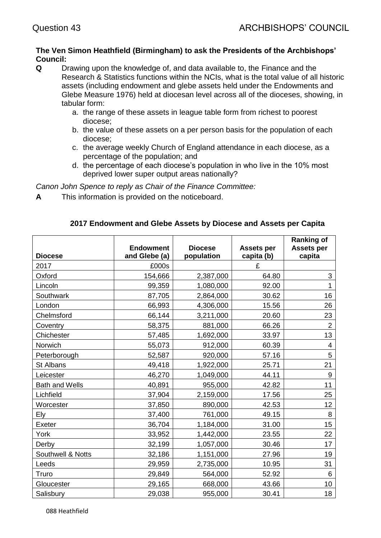## **The Ven Simon Heathfield (Birmingham) to ask the Presidents of the Archbishops' Council:**

- **Q** Drawing upon the knowledge of, and data available to, the Finance and the Research & Statistics functions within the NCIs, what is the total value of all historic assets (including endowment and glebe assets held under the Endowments and Glebe Measure 1976) held at diocesan level across all of the dioceses, showing, in tabular form:
	- a. the range of these assets in league table form from richest to poorest diocese;
	- b. the value of these assets on a per person basis for the population of each diocese;
	- c. the average weekly Church of England attendance in each diocese, as a percentage of the population; and
	- d. the percentage of each diocese's population in who live in the 10% most deprived lower super output areas nationally?

*Canon John Spence to reply as Chair of the Finance Committee:* 

**A** This information is provided on the noticeboard.

# **2017 Endowment and Glebe Assets by Diocese and Assets per Capita**

| <b>Diocese</b>        | <b>Endowment</b><br>and Glebe (a) | <b>Diocese</b><br>population | <b>Assets per</b><br>capita (b) | <b>Ranking of</b><br><b>Assets per</b><br>capita |
|-----------------------|-----------------------------------|------------------------------|---------------------------------|--------------------------------------------------|
| 2017                  | £000s                             |                              | £                               |                                                  |
| Oxford                | 154,666                           | 2,387,000                    | 64.80                           | 3                                                |
| Lincoln               | 99,359                            | 1,080,000                    | 92.00                           | 1                                                |
| Southwark             | 87,705                            | 2,864,000                    | 30.62                           | 16                                               |
| London                | 66,993                            | 4,306,000                    | 15.56                           | 26                                               |
| Chelmsford            | 66,144                            | 3,211,000                    | 20.60                           | 23                                               |
| Coventry              | 58,375                            | 881,000                      | 66.26                           | $\overline{2}$                                   |
| Chichester            | 57,485                            | 1,692,000                    | 33.97                           | 13                                               |
| Norwich               | 55,073                            | 912,000                      | 60.39                           | 4                                                |
| Peterborough          | 52,587                            | 920,000                      | 57.16                           | 5                                                |
| St Albans             | 49,418                            | 1,922,000                    | 25.71                           | 21                                               |
| Leicester             | 46,270                            | 1,049,000                    | 44.11                           | 9                                                |
| <b>Bath and Wells</b> | 40,891                            | 955,000                      | 42.82                           | 11                                               |
| Lichfield             | 37,904                            | 2,159,000                    | 17.56                           | 25                                               |
| Worcester             | 37,850                            | 890,000                      | 42.53                           | 12                                               |
| Ely                   | 37,400                            | 761,000                      | 49.15                           | 8                                                |
| Exeter                | 36,704                            | 1,184,000                    | 31.00                           | 15                                               |
| York                  | 33,952                            | 1,442,000                    | 23.55                           | 22                                               |
| Derby                 | 32,199                            | 1,057,000                    | 30.46                           | 17                                               |
| Southwell & Notts     | 32,186                            | 1,151,000                    | 27.96                           | 19                                               |
| Leeds                 | 29,959                            | 2,735,000                    | 10.95                           | 31                                               |
| Truro                 | 29,849                            | 564,000                      | 52.92                           | 6                                                |
| Gloucester            | 29,165                            | 668,000                      | 43.66                           | 10                                               |
| Salisbury             | 29,038                            | 955,000                      | 30.41                           | 18                                               |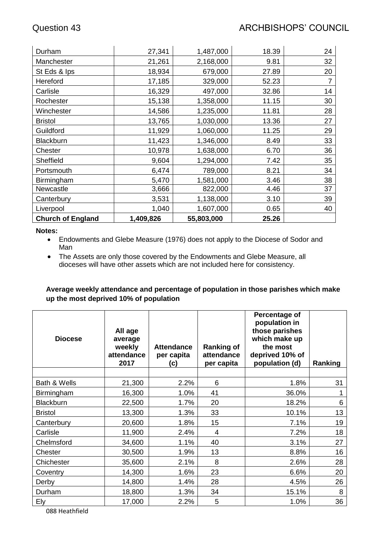| Durham                   | 27,341    | 1,487,000  | 18.39 | 24 |
|--------------------------|-----------|------------|-------|----|
| Manchester               | 21,261    | 2,168,000  | 9.81  | 32 |
| St Eds & Ips             | 18,934    | 679,000    | 27.89 | 20 |
| Hereford                 | 17,185    | 329,000    | 52.23 | 7  |
| Carlisle                 | 16,329    | 497,000    | 32.86 | 14 |
| Rochester                | 15,138    | 1,358,000  | 11.15 | 30 |
| Winchester               | 14,586    | 1,235,000  | 11.81 | 28 |
| <b>Bristol</b>           | 13,765    | 1,030,000  | 13.36 | 27 |
| Guildford                | 11,929    | 1,060,000  | 11.25 | 29 |
| <b>Blackburn</b>         | 11,423    | 1,346,000  | 8.49  | 33 |
| Chester                  | 10,978    | 1,638,000  | 6.70  | 36 |
| Sheffield                | 9,604     | 1,294,000  | 7.42  | 35 |
| Portsmouth               | 6,474     | 789,000    | 8.21  | 34 |
| Birmingham               | 5,470     | 1,581,000  | 3.46  | 38 |
| Newcastle                | 3,666     | 822,000    | 4.46  | 37 |
| Canterbury               | 3,531     | 1,138,000  | 3.10  | 39 |
| Liverpool                | 1,040     | 1,607,000  | 0.65  | 40 |
| <b>Church of England</b> | 1,409,826 | 55,803,000 | 25.26 |    |

### **Notes:**

- Endowments and Glebe Measure (1976) does not apply to the Diocese of Sodor and Man
- The Assets are only those covered by the Endowments and Glebe Measure, all dioceses will have other assets which are not included here for consistency.

# **Average weekly attendance and percentage of population in those parishes which make up the most deprived 10% of population**

| <b>Diocese</b>   | All age<br>average<br>weekly<br>attendance<br>2017 | <b>Attendance</b><br>per capita<br>(c) | <b>Ranking of</b><br>attendance<br>per capita | Percentage of<br>population in<br>those parishes<br>which make up<br>the most<br>deprived 10% of<br>population (d) | Ranking |
|------------------|----------------------------------------------------|----------------------------------------|-----------------------------------------------|--------------------------------------------------------------------------------------------------------------------|---------|
|                  |                                                    |                                        |                                               |                                                                                                                    |         |
| Bath & Wells     | 21,300                                             | 2.2%                                   | 6                                             | 1.8%                                                                                                               | 31      |
| Birmingham       | 16,300                                             | 1.0%                                   | 41                                            | 36.0%                                                                                                              |         |
| <b>Blackburn</b> | 22,500                                             | 1.7%                                   | 20                                            | 18.2%                                                                                                              | 6       |
| <b>Bristol</b>   | 13,300                                             | 1.3%                                   | 33                                            | 10.1%                                                                                                              | 13      |
| Canterbury       | 20,600                                             | 1.8%                                   | 15                                            | 7.1%                                                                                                               | 19      |
| Carlisle         | 11,900                                             | 2.4%                                   | $\overline{4}$                                | 7.2%                                                                                                               | 18      |
| Chelmsford       | 34,600                                             | 1.1%                                   | 40                                            | 3.1%                                                                                                               | 27      |
| Chester          | 30,500                                             | 1.9%                                   | 13                                            | 8.8%                                                                                                               | 16      |
| Chichester       | 35,600                                             | 2.1%                                   | 8                                             | 2.6%                                                                                                               | 28      |
| Coventry         | 14,300                                             | 1.6%                                   | 23                                            | 6.6%                                                                                                               | 20      |
| Derby            | 14,800                                             | 1.4%                                   | 28                                            | 4.5%                                                                                                               | 26      |
| Durham           | 18,800                                             | 1.3%                                   | 34                                            | 15.1%                                                                                                              | 8       |
| Ely              | 17,000                                             | 2.2%                                   | 5                                             | 1.0%                                                                                                               | 36      |

088 Heathfield